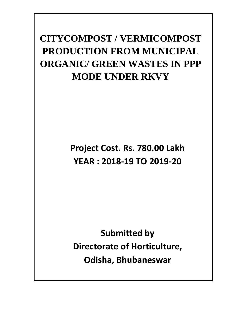# **CITYCOMPOST / VERMICOMPOST PRODUCTION FROM MUNICIPAL ORGANIC/ GREEN WASTES IN PPP MODE UNDER RKVY**

**Project Cost. Rs. 780.00 Lakh YEAR : 2018‐19 TO 2019‐20**

**Submitted by Directorate of Horticulture, Odisha, Bhubaneswar**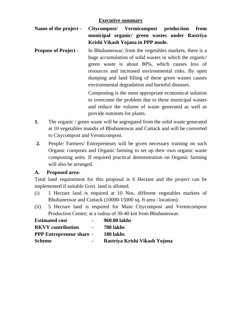#### **Executive summary**

- **Name of the project Citycompost/ Vermicompost production from municipal organic/ green wastes under Rastriya Krishi Vikash Yojana in PPP mode.**
- **Propose of Project -** In Bhubaneswar, from the vegetables markets, there is a huge accumulation of solid wastes in which the organic/ green waste is about 80%, which causes loss of resources and increased environmental risks. By open dumping and land filling of these green wastes causes environmental degradation and harmful diseases.

Composting is the most appropriate economical solution to overcome the problem due to these municipal wastes and reduce the volume of waste generated as well as provide nutrients for plants.

- **1.** The organic / green waste will be segregated from the solid waste generated at 10 vegetables mandis of Bhubaneswar and Cuttack and will be converted to Citycompost and Vermicompost.
- **2.** People/ Farmers/ Entrepreneurs will be given necessary training on such Organic composts and Organic farming to set up their own organic waste composting units. If required practical demonstration on Organic farming will also be arranged.

### **A. Proposed area-**

Total land requirement for this proposal is 6 Hectare and the project can be implemented if suitable Govt. land is allotted.

- (i) 1 Hectare land is required at 10 Nos. different vegetables markets of Bhubaneswar and Cuttack (10000-15000 sq. ft area / location).
- (ii) 5 Hectare land is required for Main Citycompost and Vermicompost Production Centre; at a radius of 30-40 km from Bhubaneswar.

| <b>Estimated cost</b>           | $\sim$                         | 960.00 lakhs                  |
|---------------------------------|--------------------------------|-------------------------------|
| <b>RKVY</b> contribution        | <b>Contract Contract State</b> | <b>780 lakhs</b>              |
| <b>PPP Entrepreneur share -</b> |                                | 180 lakhs                     |
| Scheme                          | $\sim$ 100 $\mu$               | Rastriya Krishi Vikash Yojona |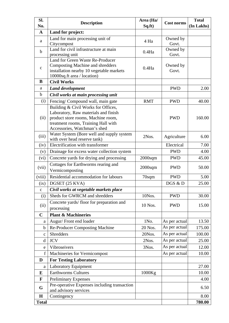| Sl.          | <b>Description</b>                                                                                                                                                                       | Area (Ha/  | <b>Cost norms</b> | <b>Total</b> |
|--------------|------------------------------------------------------------------------------------------------------------------------------------------------------------------------------------------|------------|-------------------|--------------|
| No.          |                                                                                                                                                                                          | Sq.ft)     |                   | (In Lakhs)   |
| $\mathbf{A}$ | Land for project:                                                                                                                                                                        |            |                   |              |
| a            | Land for main processing unit of<br>Citycompost                                                                                                                                          | 4 Ha       | Owned by<br>Govt. |              |
| $\mathbf b$  | Land for civil infrastructure at main<br>processing unit                                                                                                                                 | $0.4$ Ha   | Owned by<br>Govt. |              |
| $\mathbf c$  | Land for Green Waste Re-Producer<br>Composting Machine and shredders<br>installation nearby 10 vegetable markets<br>10000sq.ft area / location)                                          | $0.4$ Ha   | Owned by<br>Govt. |              |
| B            | <b>Civil Works</b>                                                                                                                                                                       |            |                   |              |
| a            | <b>Land development</b>                                                                                                                                                                  |            | <b>PWD</b>        | 2.00         |
| $\mathbf b$  | Civil works at main processing unit                                                                                                                                                      |            |                   |              |
| (i)          | Fencing/Compound wall, main gate                                                                                                                                                         | <b>RMT</b> | <b>PWD</b>        | 40.00        |
| (ii)         | Building & Civil Works for Offices,<br>Laboratory, Raw materials and finish<br>product store rooms, Machine room,<br>treatment rooms, Training Hall with<br>Accessories, Watchman's shed |            | <b>PWD</b>        | 160.00       |
| (iii)        | Water System (Bore well and supply system<br>with over head reserve tank)                                                                                                                | 2Nos.      | Agriculture       | 6.00         |
| (iv)         | Electrification with transformer                                                                                                                                                         |            | Electrical        | 7.00         |
| (v)          | Drainage for excess water collection system                                                                                                                                              |            | <b>PWD</b>        | 4.00         |
| (vi)         | Concrete yards for drying and processing                                                                                                                                                 | $2000$ sqm | <b>PWD</b>        | 45.00        |
| (vii)        | Cottages for Earthworms rearing and<br>Vermicomposting                                                                                                                                   | $2000$ sqm | <b>PWD</b>        | 50.00        |
| (viii)       | Residential accommodation for labours                                                                                                                                                    | 70sqm      | <b>PWD</b>        | 5.00         |
| (ix)         | DGSET (25 KVA)                                                                                                                                                                           |            | DGS & D           | 25.00        |
| c            | Civil works at vegetable markets place                                                                                                                                                   |            |                   |              |
| (i)          | Sheds for GWRCM and shredders                                                                                                                                                            | 10Nos.     | <b>PWD</b>        | 30.00        |
| (ii)         | Concrete yards/floor for preparation and                                                                                                                                                 | 10 Nos.    | <b>PWD</b>        | 15.00        |
|              | processing                                                                                                                                                                               |            |                   |              |
| $\mathbf C$  | <b>Plant &amp; Machineries</b>                                                                                                                                                           |            |                   |              |
| a            | Augur/Front end loader                                                                                                                                                                   | 1No.       | As per actual     | 13.50        |
| $\mathbf b$  | <b>Re-Producer Composting Machine</b>                                                                                                                                                    | 20 Nos.    | As per actual     | 175.00       |
| $\mathbf{C}$ | Shredders                                                                                                                                                                                | 20Nos.     | As per actual     | 100.00       |
| d            | <b>JCV</b>                                                                                                                                                                               | 2Nos.      | As per actual     | 25.00        |
| e            | Vibroseivers                                                                                                                                                                             | 3Nos.      | As per actual     | 12.00        |
| $\mathbf f$  | Machineries for Vermicompost                                                                                                                                                             |            | As per actual     | 10.00        |
| D            | <b>For Testing Laboratory</b>                                                                                                                                                            |            |                   |              |
| $\rm{a}$     | Laboratory Equipment                                                                                                                                                                     |            |                   | 27.00        |
| E            | <b>Earthworms Cultures</b>                                                                                                                                                               | 1000Kg     |                   | 10.00        |
| F            | <b>Preliminary Expenses</b>                                                                                                                                                              |            |                   | 4.00         |
| G            | Pre-operative Expenses including transaction<br>and advisory services                                                                                                                    |            |                   | 6.50         |
| H            | Contingency                                                                                                                                                                              |            |                   | 8.00         |
| <b>Total</b> |                                                                                                                                                                                          |            |                   | 780.00       |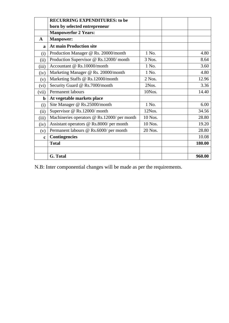|             | <b>RECURRING EXPENDITURES: to be</b>        |         |        |
|-------------|---------------------------------------------|---------|--------|
|             | born by selected entrepreneur               |         |        |
|             | <b>Manpowerfor 2 Years:</b>                 |         |        |
| A           | <b>Manpower:</b>                            |         |        |
| $\mathbf a$ | <b>At main Production site</b>              |         |        |
| (i)         | Production Manager @ Rs. 20000/month        | 1 No.   | 4.80   |
| (ii)        | Production Supervisor @ Rs.12000/ month     | 3 Nos.  | 8.64   |
| (iii)       | Accountant @ Rs.10000/month                 | 1 No.   | 3.60   |
| (iv)        | Marketing Manager @ Rs. 20000/month         | 1 No.   | 4.80   |
| (v)         | Marketing Staffs @ Rs.12000/month           | 2 Nos.  | 12.96  |
| (vi)        | Security Guard @ Rs.7000/month              | 2Nos.   | 3.36   |
| (vii)       | Permanent labours                           | 10Nos.  | 14.40  |
| $\mathbf b$ | At vegetable markets place                  |         |        |
| (i)         | Site Manager @ Rs.25000/month               | 1 No.   | 6.00   |
| (ii)        | Supervisor @ Rs.12000/ month                | 12Nos.  | 34.56  |
| (iii)       | Machineries operators @ Rs.12000/ per month | 10 Nos. | 28.80  |
| (iv)        | Assistant operators @ Rs.8000/ per month    | 10 Nos. | 19.20  |
| (v)         | Permanent labours @ Rs.6000/ per month      | 20 Nos. | 28.80  |
| $\mathbf c$ | <b>Contingencies</b>                        |         | 10.08  |
|             | <b>Total</b>                                |         | 180.00 |
|             |                                             |         |        |
|             | G. Total                                    |         | 960.00 |

N.B: Inter componential changes will be made as per the requirements.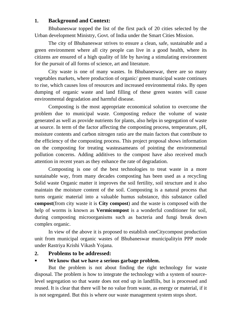# **1. Background and Context:**

Bhubaneswar topped the list of the first pack of 20 cities selected by the Urban development Ministry, Govt. of India under the Smart Cities Mission.

The city of Bhubaneswar strives to ensure a clean, safe, sustainable and a green environment where all city people can live in a good health, where its citizens are ensured of a high quality of life by having a stimulating environment for the pursuit of all forms of science, art and literature.

City waste is one of many wastes. In Bhubaneswar, there are so many vegetables markets, where production of organic/ green municipal waste continues to rise, which causes loss of resources and increased environmental risks. By open dumping of organic waste and land filling of these green wastes will cause environmental degradation and harmful disease.

Composting is the most appropriate economical solution to overcome the problem due to municipal waste. Composting reduce the volume of waste generated as well as provide nutrients for plants, also helps in segregation of waste at source. In term of the factor affecting the composting process, temperature, pH, moisture contents and carbon nitrogen ratio are the main factors that contribute to the efficiency of the composting process. This project proposal shows information on the composting for treating wasteasameans of pointing the environmental pollution concerns. Adding additives to the compost have also received much attention in recent years as they enhance the rate of degradation.

Composting is one of the best technologies to treat waste in a more sustainable way, from many decades composting has been used as a recycling Solid waste Organic matter it improves the soil fertility, soil structure and it also maintain the moisture content of the soil. Composting is a natural process that turns organic material into a valuable humus substance, this substance called **compost**(from city waste it is **City compost**) and the waste is composed with the help of worms is known as **Vermicompost** is a wonderful conditioner for soil, during composting microorganisms such as bacteria and fungi break down complex organic.

In view of the above it is proposed to establish oneCitycompost production unit from municipal organic wastes of Bhubaneswar municipalityin PPP mode under Rastriya Krishi Vikash Yojana.

### **2. Problems to be addressed:**

### **We know that we have a serious garbage problem.**

But the problem is not about finding the right technology for waste disposal. The problem is how to integrate the technology with a system of sourcelevel segregation so that waste does not end up in landfills, but is processed and reused. It is clear that there will be no value from waste, as energy or material, if it is not segregated. But this is where our waste management system stops short.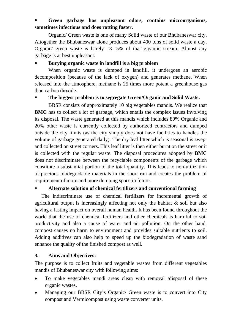# **Green garbage has unpleasant odors, contains microorganisms, sometimes infectious and does rotting faster.**

Organic/ Green waste is one of many Solid waste of our Bhubaneswar city. Altogether the Bhubaneswar alone produces about 400 tons of solid waste a day. Organic/ green waste is barely 13-15% of that gigantic stream. Almost any garbage is at best unpleasant.

# **Burying organic waste in landfill is a big problem**

When organic waste is dumped in landfill, it undergoes an aerobic decomposition (because of the lack of oxygen) and generates methane. When released into the atmosphere, methane is 25 times more potent a greenhouse gas than carbon dioxide.

# **The biggest problem is to segregate Green/Organic and Solid Waste.**

BBSR consists of approximately 10 big vegetables mandis. We realize that **BMC** has to collect a lot of garbage, which entails the complex issues involving its disposal. The waste generated at this mandis which includes 80% Organic and 20% other waste is currently collected by authorized contractors and dumped outside the city limits (as the city simply does not have facilities to handles the volume of garbage generated daily). The dry leaf litter which is seasonal is swept and collected on street corners. This leaf litter is then either burnt on the street or it is collected with the regular waste. The disposal procedures adopted by **BMC** does not discriminate between the recyclable components of the garbage which constitute a substantial portion of the total quantity. This leads to non-utilization of precious biodegradable materials in the short run and creates the problem of requirement of more and more dumping space in future.

# **Alternate solution of chemical fertilizers and conventional farming**

The indiscriminate use of chemical fertilizers for incremental growth of agricultural output is increasingly affecting not only the habitat & soil but also having a lasting impact on overall human health. It has been found throughout the world that the use of chemical fertilizers and other chemicals is harmful to soil productivity and also a cause of water and air pollution. On the other hand, compost causes no harm to environment and provides suitable nutrients to soil. Adding additives can also help to speed up the biodegradation of waste sand enhance the quality of the finished compost as well.

# **3. Aims and Objectives:**

The purpose is to collect fruits and vegetable wastes from different vegetables mandis of Bhubaneswar city with following aims:

- To make vegetables mandi areas clean with removal /disposal of these organic wastes.
- Managing our BBSR City's Organic/ Green waste is to convert into City compost and Vermicompost using waste converter units.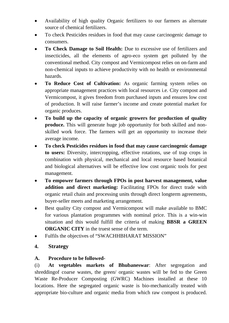- Availability of high quality Organic fertilizers to our farmers as alternate source of chemical fertilizers.
- To check Pesticides residues in food that may cause carcinogenic damage to consumers.
- **To Check Damage to Soil Health:** Due to excessive use of fertilizers and insecticides, all the elements of agro-eco system get polluted by the conventional method. City compost and Vermicompost relies on on-farm and non-chemical inputs to achieve productivity with no health or environmental hazards.
- **To Reduce Cost of Cultivation:** As organic farming system relies on appropriate management practices with local resources i.e. City compost and Vermicompost, it gives freedom from purchased inputs and ensures low cost of production. It will raise farmer's income and create potential market for organic produces.
- **To build up the capacity of organic growers for production of quality produce.** This will generate huge job opportunity for both skilled and nonskilled work force. The farmers will get an opportunity to increase their average income.
- **To check Pesticides residues in food that may cause carcinogenic damage to users:** Diversity, intercropping, effective rotations, use of trap crops in combination with physical, mechanical and local resource based botanical and biological alternatives will be effective low cost organic tools for pest management.
- **To empower farmers through FPOs in post harvest management, value addition and direct marketing:** Facilitating FPOs for direct trade with organic retail chain and processing units through direct longterm agreements, buyer-seller meets and marketing arrangement.
- Best quality City compost and Vermicompost will make available to BMC for various plantation programmes with nominal price. This is a win-win situation and this would fulfill the criteria of making **BBSR a GREEN ORGANIC CITY** in the truest sense of the term.
- Fulfils the objectives of "SWACHHBHARAT MISSION"
- **4. Strategy**

# **A. Procedure to be followed-**

(i) **At vegetables markets of Bhubaneswar**: After segregation and shreddingof coarse wastes, the green/ organic wastes will be fed to the Green Waste Re-Producer Composting (GWRC) Machines installed at these 10 locations. Here the segregated organic waste is bio-mechanically treated with appropriate bio-culture and organic media from which raw compost is produced.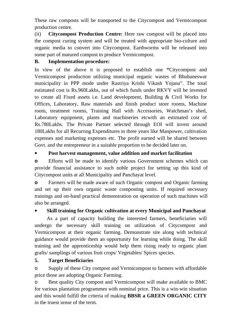These raw composts will be transported to the Citycompost and Vermicompost production centre.

(ii) **Citycompost Production Centre:** Here raw compost will be placed into the compost curing system and will be treated with appropriate bio-culture and organic media to convert into Citycompost. Earthworms will be released into some part of matured compost to produce Vermicompost.

### **B. Implementation procedure:**

In view of the above it is proposed to establish one **"**Citycompost and Vermicompost production utilizing municipal organic wastes of Bhubaneswar municipality in PPP mode under Rastriya Krishi Vikash Yojana". The total estimated cost is Rs.960Lakhs, out of which funds under RKVY will be invested to create all Fixed assets i.e. Land development, Building & Civil Works for Offices, Laboratory, Raw materials and finish product store rooms, Machine room, treatment rooms, Training Hall with Accessories, Watchman's shed, Laboratory equipment, plants and machineries etcwith an estimated cost of Rs.780Lakhs. The Private Partner selected through EOI will invest around 180Lakhs for all Recurring Expenditures in three years like Manpower, cultivation expenses and marketing expenses etc. The profit earned will be shared between Govt. and the entrepreneur in a suitable proportion to be decided later on.

# **Post harvest management, value addition and market facilitation**

**o** Efforts will be made to identify various Government schemes which can provide financial assistance to such noble project for setting up this kind of Citycompost units at all Municipality and Panchayat level.

**o** Farmers will be made aware of such Organic compost and Organic farming and set up their own organic waste composting units. If required necessary trainings and on-hand practical demonstration on operation of such machines will also be arranged.

# **Skill training for Organic cultivation at every Municipal and Panchayat**

As a part of capacity building the interested farmers, beneficiaries will undergo the necessary skill training on utilization of Citycompost and Vermicompost at their organic farming. Demonstrate site along with technical guidance would provide them an opportunity for learning while doing. The skill training and the apprenticeship would help them rising ready to organic plant grafts/ samplings of various fruit crops/ Vegetables/ Spices species.

# **5. Target Beneficiaries**

o Supply of these City compost and Vermicompost to farmers with affordable price those are adopting Organic Farming.

o Best quality City compost and Vermicompost will make available to BMC for various plantation programmes with nominal price. This is a win-win situation and this would fulfill the criteria of making **BBSR a GREEN ORGANIC CITY** in the truest sense of the term.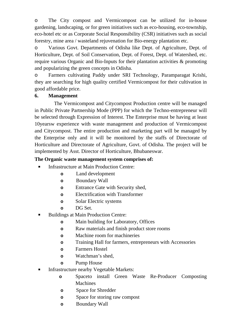o The City compost and Vermicompost can be utilized for in-house gardening, landscaping, or for green initiatives such as eco-housing, eco-township, eco-hotel etc or as Corporate Social Responsibility (CSR) initiatives such as social forestry, mine area / wasteland rejuvenation for Bio-energy plantation etc.

o Various Govt. Departments of Odisha like Dept. of Agriculture, Dept. of Horticulture, Dept. of Soil Conservation, Dept. of Forest, Dept. of Watershed, etc. require various Organic and Bio-Inputs for their plantation activities & promoting and popularizing the green concepts in Odisha.

o Farmers cultivating Paddy under SRI Technology, Paramparagat Krishi, they are searching for high quality certified Vermicompost for their cultivation in good affordable price.

# **6. Management**

The Vermicompost and Citycompost Production centre will be managed in Public Private Partnership Mode (PPP) for which the Techno-entrepreneur will be selected through Expression of Interest. The Enterprise must be having at least 10yearsw experience with waste management and production of Vermicompost and Citycompost. The entire production and marketing part will be managed by the Enterprise only and it will be monitored by the staffs of Directorate of Horticulture and Directorate of Agriculture, Govt. of Odisha. The project will be implemented by Asst. Director of Horticulture, Bhubaneswar.

### **The Organic waste management system comprises of:**

- **Infrastructure at Main Production Centre:** 
	- **o** Land development
	- **o** Boundary Wall
	- **o** Entrance Gate with Security shed,
	- **o** Electrification with Transformer
	- **o** Solar Electric systems
	- **o** DG Set.
- Buildings at Main Production Centre:
	- **o** Main building for Laboratory, Offices
	- **o** Raw materials and finish product store rooms
	- **o** Machine room for machineries
	- **o** Training Hall for farmers, entrepreneurs with Accessories
	- **o** Farmers Hostel
	- **o** Watchman's shed,
	- **o** Pump House
- Infrastructure nearby Vegetable Markets:
	- **o** Spaceto install Green Waste Re-Producer Composting Machines
	- **o** Space for Shredder
	- **o** Space for storing raw compost
	- **o** Boundary Wall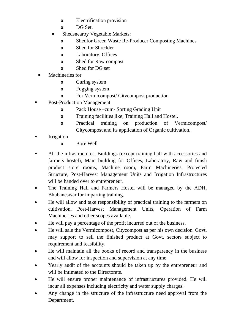- **o** Electrification provision
- **o** DG Set.
- **Shedsnearby Vegetable Markets:** 
	- **o** Shedfor Green Waste Re-Producer Composting Machines
	- **o** Shed for Shredder
	- **o** Laboratory, Offices
	- **o** Shed for Raw compost
	- **o** Shed for DG set
- Machineries for
	- **o** Curing system
	- **o** Fogging system
	- **o** For Vermicompost/ Citycompost production
- Post-Production Management
	- **o** Pack House –cum- Sorting Grading Unit
	- **o** Training facilities like; Training Hall and Hostel.
	- **o** Practical training on production of Vermicompost/ Citycompost and its application of Organic cultivation.
- Irrigation
	- **o** Bore Well
- All the infrastructures, Buildings (except training hall with accessories and farmers hostel), Main building for Offices, Laboratory, Raw and finish product store rooms, Machine room, Farm Machineries, Protected Structure, Post-Harvest Management Units and Irrigation Infrastructures will be handed over to entrepreneur.
- The Training Hall and Farmers Hostel will be managed by the ADH, Bhubaneswar for imparting training.
- He will allow and take responsibility of practical training to the farmers on cultivation, Post-Harvest Management Units, Operation of Farm Machineries and other scopes available.
- He will pay a percentage of the profit incurred out of the business.
- He will sale the Vermicompost, Citycompost as per his own decision. Govt. may support to sell the finished product at Govt. sectors subject to requirement and feasibility.
- He will maintain all the books of record and transparency in the business and will allow for inspection and supervision at any time.
- Yearly audit of the accounts should be taken up by the entrepreneur and will be intimated to the Directorate.
- He will ensure proper maintenance of infrastructures provided. He will incur all expenses including electricity and water supply charges.
- Any change in the structure of the infrastructure need approval from the Department.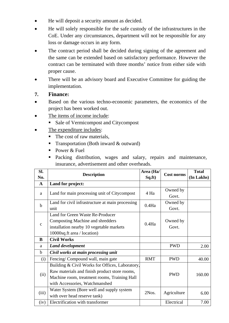- He will deposit a security amount as decided.
- He will solely responsible for the safe custody of the infrastructures in the CoE. Under any circumstances, department will not be responsible for any loss or damage occurs in any form.
- The contract period shall be decided during signing of the agreement and the same can be extended based on satisfactory performance. However the contract can be terminated with three months' notice from either side with proper cause.
- There will be an advisory board and Executive Committee for guiding the implementation.
- **7. Finance:**
- Based on the various techno-economic parameters, the economics of the project has been worked out.
- The items of income include:
	- Sale of Vermicompost and Citycompost
- The expenditure includes:
	- The cost of raw materials,
	- **Transportation (Both inward & outward)**
	- Power & Fuel
	- Packing distribution, wages and salary, repairs and maintenance, insurance, advertisement and other overheads.

| Sl.          |                                                  | Area (Ha/  |                   | <b>Total</b> |
|--------------|--------------------------------------------------|------------|-------------------|--------------|
| No.          | <b>Description</b>                               | Sq.ft)     | <b>Cost norms</b> | (In Lakhs)   |
| $\mathbf{A}$ | Land for project:                                |            |                   |              |
|              |                                                  | 4 Ha       | Owned by          |              |
| a            | Land for main processing unit of Citycompost     |            | Govt.             |              |
|              | Land for civil infrastructure at main processing | $0.4$ Ha   | Owned by          |              |
| $\mathbf b$  | unit                                             |            | Govt.             |              |
|              | Land for Green Waste Re-Producer                 |            |                   |              |
| $\mathbf{C}$ | Composting Machine and shredders                 | 0.4Ha      | Owned by          |              |
|              | installation nearby 10 vegetable markets         |            | Govt.             |              |
|              | 10000sq.ft area / location)                      |            |                   |              |
| B            | <b>Civil Works</b>                               |            |                   |              |
| a            | <b>Land development</b>                          |            | <b>PWD</b>        | 2.00         |
| $\mathbf b$  | Civil works at main processing unit              |            |                   |              |
| (i)          | Fencing/ Compound wall, main gate                | <b>RMT</b> | <b>PWD</b>        | 40.00        |
|              | Building & Civil Works for Offices, Laboratory,  |            |                   |              |
| (ii)         | Raw materials and finish product store rooms,    |            | <b>PWD</b>        |              |
|              | Machine room, treatment rooms, Training Hall     |            |                   | 160.00       |
|              | with Accessories, Watchmanshed                   |            |                   |              |
|              | Water System (Bore well and supply system        | 2Nos.      | Agriculture       | 6.00         |
| (iii)        | with over head reserve tank)                     |            |                   |              |
| (iv)         | Electrification with transformer                 |            | Electrical        | 7.00         |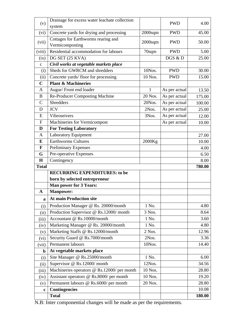| (v)           | Drainage for excess water leachate collection |              | <b>PWD</b>    | 4.00   |
|---------------|-----------------------------------------------|--------------|---------------|--------|
|               | system                                        |              |               |        |
| (vi)          | Concrete yards for drying and processing      | $2000$ sqm   | <b>PWD</b>    | 45.00  |
| (vii)         | Cottages for Earthworms rearing and           | $2000$ sqm   | <b>PWD</b>    | 50.00  |
|               | Vermicomposting                               |              |               |        |
| (viii)        | Residential accommodation for labours         | 70sqm        | <b>PWD</b>    | 5.00   |
| (ix)          | DG SET (25 KVA)                               |              | DGS & D       | 25.00  |
| $\mathbf{C}$  | Civil works at vegetable markets place        |              |               |        |
| (i)           | Sheds for GWRCM and shredders                 | 10Nos.       | <b>PWD</b>    | 30.00  |
| (ii)          | Concrete yards/floor for processing           | 10 Nos.      | <b>PWD</b>    | 15.00  |
| $\mathbf C$   | <b>Plant &amp; Machineries</b>                |              |               |        |
| A             | Augur/Front end loader                        | $\mathbf{1}$ | As per actual | 13.50  |
| B             | <b>Re-Producer Composting Machine</b>         | 20 Nos.      | As per actual | 175.00 |
| $\mathcal{C}$ | <b>Shredders</b>                              | 20Nos.       | As per actual | 100.00 |
| D             | <b>JCV</b>                                    | 2Nos.        | As per actual | 25.00  |
| E             | Vibroseivers                                  | 3Nos.        | As per actual | 12.00  |
| $\mathbf F$   | Machineries for Vermicompost                  |              | As per actual | 10.00  |
| D             | <b>For Testing Laboratory</b>                 |              |               |        |
| A             | <b>Laboratory Equipment</b>                   |              |               | 27.00  |
| E             | <b>Earthworms Cultures</b>                    | 2000Kg       |               | 10.00  |
| $\mathbf{F}$  | <b>Preliminary Expenses</b>                   |              |               | 4.00   |
| G             | Pre-operative Expenses                        |              |               | 6.50   |
| $\mathbf H$   | Contingency                                   |              |               | 8.00   |
| <b>Total</b>  |                                               |              |               | 780.00 |
|               | <b>RECURRING EXPENDITURES: to be</b>          |              |               |        |
|               | born by selected entrepreneur                 |              |               |        |
|               | <b>Man power for 3 Years:</b>                 |              |               |        |
| A             | <b>Manpower:</b>                              |              |               |        |
| a             | <b>At main Production site</b>                |              |               |        |
| (i)           | Production Manager @ Rs. 20000/month          | 1 No.        |               | 4.80   |
| (ii)          | Production Supervisor @ Rs.12000/ month       | 3 Nos.       |               | 8.64   |
| (iii)         | Accountant @ Rs.10000/month                   | 1 No.        |               | 3.60   |
| (iv)          | Marketing Manager @ Rs. 20000/month           | 1 No.        |               | 4.80   |
| (v)           | Marketing Staffs @ Rs.12000/month             | 2 Nos.       |               | 12.96  |
| (vi)          | Security Guard @ Rs.7000/month                | 2Nos.        |               | 3.36   |
| (vii)         | Permanent labours                             | 10Nos.       |               | 14.40  |
| $\mathbf b$   | At vegetable markets place                    |              |               |        |
| (i)           | Site Manager @ Rs.25000/month                 | 1 No.        |               | 6.00   |
| (ii)          | Supervisor @ Rs.12000/ month                  | 12Nos.       |               | 34.56  |
| (iii)         | Machineries operators @ Rs.12000/ per month   | 10 Nos.      |               | 28.80  |
| (iv)          | Assistant operators @ Rs.8000/ per month      | 10 Nos.      |               | 19.20  |
| (v)           | Permanent labours @ Rs.6000/ per month        | 20 Nos.      |               | 28.80  |
| $\mathbf c$   |                                               |              |               |        |
|               | <b>Contingencies</b>                          |              |               | 10.08  |

N.B: Inter componential changes will be made as per the requirements.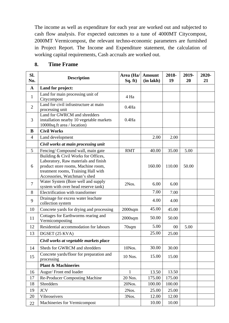The income as well as expenditure for each year are worked out and subjected to cash flow analysis. For expected outcomes to a tune of 4000MT Citycompost, 2000MT Vermicompost, the relevant techno-economic parameters are furnished in Project Report. The Income and Expenditure statement, the calculation of working capital requirements, Cash accruals are worked out.

| Sl.<br>No.     | <b>Description</b>                                                                                                                                                                       | Area (Ha/   Amount<br>Sq. ft) | (in lakh) | 2018-<br>19 | 2019-<br>20 | 2020-<br>21 |
|----------------|------------------------------------------------------------------------------------------------------------------------------------------------------------------------------------------|-------------------------------|-----------|-------------|-------------|-------------|
| $\mathbf{A}$   | Land for project:                                                                                                                                                                        |                               |           |             |             |             |
| $\mathbf{1}$   | Land for main processing unit of<br>Citycompost                                                                                                                                          | 4 Ha                          |           |             |             |             |
| $\overline{2}$ | Land for civil infrastructure at main<br>processing unit                                                                                                                                 | $0.4$ Ha                      |           |             |             |             |
| 3              | Land for GWRCM and shredders<br>installation nearby 10 vegetable markets<br>10000sq.ft area / location)                                                                                  | $0.4$ Ha                      |           |             |             |             |
| B              | <b>Civil Works</b>                                                                                                                                                                       |                               |           |             |             |             |
| $\overline{4}$ | Land development                                                                                                                                                                         |                               | 2.00      | 2.00        |             |             |
|                | Civil works at main processing unit                                                                                                                                                      |                               |           |             |             |             |
| 5              | Fencing/Compound wall, main gate                                                                                                                                                         | <b>RMT</b>                    | 40.00     | 35.00       | 5.00        |             |
| 6              | Building & Civil Works for Offices,<br>Laboratory, Raw materials and finish<br>product store rooms, Machine room,<br>treatment rooms, Training Hall with<br>Accessories, Watchman's shed |                               | 160.00    | 110.00      | 50.00       |             |
| $\overline{7}$ | Water System (Bore well and supply<br>system with over head reserve tank)                                                                                                                | 2Nos.                         | 6.00      | 6.00        |             |             |
| 8              | Electrification with transformer                                                                                                                                                         |                               | 7.00      | 7.00        |             |             |
| 9              | Drainage for excess water leachate<br>collection system                                                                                                                                  |                               | 4.00      | 4.00        |             |             |
| 10             | Concrete yards for drying and processing                                                                                                                                                 | $2000$ sqm                    | 45.00     | 45.00       |             |             |
| 11             | Cottages for Earthworms rearing and<br>Vermicomposting                                                                                                                                   | $2000$ sqm                    | 50.00     | 50.00       |             |             |
| 12             | Residential accommodation for labours                                                                                                                                                    | 70sqm                         | 5.00      | 00          | 5.00        |             |
| 13             | DGSET (25 KVA)                                                                                                                                                                           |                               | 25.00     | 25.00       |             |             |
|                | Civil works at vegetable markets place                                                                                                                                                   |                               |           |             |             |             |
| 14             | Sheds for GWRCM and shredders                                                                                                                                                            | 10Nos.                        | 30.00     | 30.00       |             |             |
| 15             | Concrete yards/floor for preparation and<br>processing                                                                                                                                   | 10 Nos.                       | 15.00     | 15.00       |             |             |
|                | <b>Plant &amp; Machineries</b>                                                                                                                                                           |                               |           |             |             |             |
| 16             | Augur/Front end loader                                                                                                                                                                   | $\mathbf{1}$                  | 13.50     | 13.50       |             |             |
| 17             | <b>Re-Producer Composting Machine</b>                                                                                                                                                    | 20 Nos.                       | 175.00    | 175.00      |             |             |
| 18             | <b>Shredders</b>                                                                                                                                                                         | 20Nos.                        | 100.00    | 100.00      |             |             |
| 19             | <b>JCV</b>                                                                                                                                                                               | 2Nos.                         | 25.00     | 25.00       |             |             |
| 20             | Vibroseivers                                                                                                                                                                             | 3Nos.                         | 12.00     | 12.00       |             |             |
| 22             | Machineries for Vermicompost                                                                                                                                                             |                               | 10.00     | 10.00       |             |             |

#### **8. Time Frame**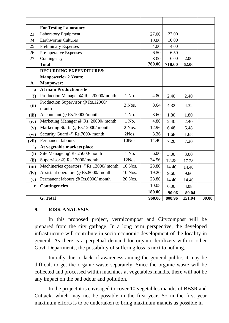|              | <b>For Testing Laboratory</b>              |         |        |        |        |       |
|--------------|--------------------------------------------|---------|--------|--------|--------|-------|
| 23           | <b>Laboratory Equipment</b>                |         | 27.00  | 27.00  |        |       |
| 24           | <b>Earthworms Cultures</b>                 |         | 10.00  | 10.00  |        |       |
| 25           | <b>Preliminary Expenses</b>                |         | 4.00   | 4.00   |        |       |
| 26           | Pre-operative Expenses                     |         | 6.50   | 6.50   |        |       |
| 27           | Contingency                                |         | 8.00   | 6.00   | 2.00   |       |
|              | <b>Total</b>                               |         | 780.00 | 718.00 | 62.00  |       |
|              | <b>RECURRING EXPENDITURES:</b>             |         |        |        |        |       |
|              | <b>Manpowerfor 2 Years:</b>                |         |        |        |        |       |
| $\mathbf{A}$ | <b>Manpower:</b>                           |         |        |        |        |       |
| a            | <b>At main Production site</b>             |         |        |        |        |       |
| (i)          | Production Manager @ Rs. 20000/month       | 1 No.   | 4.80   | 2.40   | 2.40   |       |
| (ii)         | Production Supervisor @ Rs.12000/<br>month | 3 Nos.  | 8.64   | 4.32   | 4.32   |       |
| (iii)        | Accountant @ Rs.10000/month                | 1 No.   | 3.60   | 1.80   | 1.80   |       |
| (iv)         | Marketing Manager @ Rs. 20000/ month       | 1 No.   | 4.80   | 2.40   | 2.40   |       |
| (v)          | Marketing Staffs @ Rs.12000/ month         | 2 Nos.  | 12.96  | 6.48   | 6.48   |       |
| (vi)         | Security Guard @ Rs.7000/ month            | 2Nos.   | 3.36   | 1.68   | 1.68   |       |
| (vii)        | <b>Permanent labours</b>                   | 10Nos.  | 14.40  | 7.20   | 7.20   |       |
| $\mathbf b$  | At vegetable markets place                 |         |        |        |        |       |
| (i)          | Site Manager @ Rs.25000/month              | 1 No.   | 6.00   | 3.00   | 3.00   |       |
| (ii)         | Supervisor @ Rs.12000/ month               | 12Nos.  | 34.56  | 17.28  | 17.28  |       |
| (iii)        | Machineries operators @Rs.12000/month      | 10 Nos. | 28.80  | 14.40  | 14.40  |       |
| (iv)         | Assistant operators @ Rs.8000/ month       | 10 Nos. | 19.20  | 9.60   | 9.60   |       |
| (v)          | Permanent labours @ Rs.6000/ month         | 20 Nos. | 28.80  | 14.40  | 14.40  |       |
| $\mathbf c$  | <b>Contingencies</b>                       |         | 10.08  | 6.00   | 4.08   |       |
|              |                                            |         | 180.00 | 90.96  | 89.04  |       |
|              | G. Total                                   |         | 960.00 | 808.96 | 151.04 | 00.00 |

#### **9. RISK ANALYSIS**

In this proposed project, vermicompost and Citycompost will be prepared from the city garbage. In a long term perspective, the developed infrastructure will contribute in socio-economic development of the locality in general. As there is a perpetual demand for organic fertilizers with to other Govt. Departments, the possibility of suffering loss is next to nothing.

Initially due to lack of awareness among the general public, it may be difficult to get the organic waste separately. Since the organic waste will be collected and processed within machines at vegetables mandis, there will not be any impact on the bad odour and pollution.

In the project it is envisaged to cover 10 vegetables mandis of BBSR and Cuttack, which may not be possible in the first year. So in the first year maximum efforts is to be undertaken to bring maximum mandis as possible in